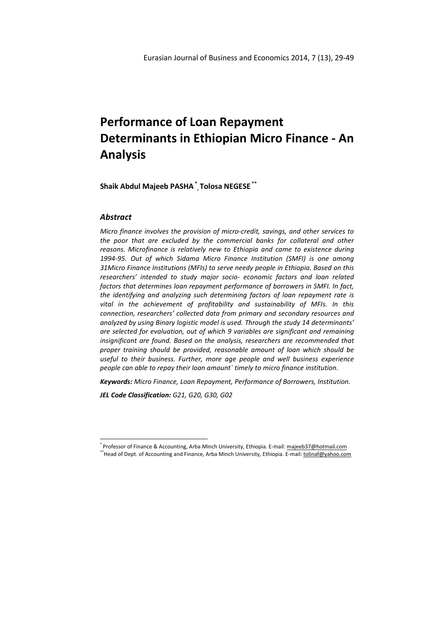**Shaik Abdul Majeeb PASHA \* , Tolosa NEGESE \*\***

## *Abstract*

 $\overline{\phantom{a}}$ 

*Micro finance involves the provision of micro-credit, savings, and other services to the poor that are excluded by the commercial banks for collateral and other reasons. Microfinance is relatively new to Ethiopia and came to existence during 1994-95. Out of which Sidama Micro Finance Institution (SMFI) is one among 31Micro Finance Institutions (MFIs) to serve needy people in Ethiopia. Based on this researchers' intended to study major socio- economic factors and loan related factors that determines loan repayment performance of borrowers in SMFI. In fact, the identifying and analyzing such determining factors of loan repayment rate is vital in the achievement of profitability and sustainability of MFIs. In this connection, researchers' collected data from primary and secondary resources and analyzed by using Binary logistic model is used. Through the study 14 determinants' are selected for evaluation, out of which 9 variables are significant and remaining insignificant are found. Based on the analysis, researchers are recommended that proper training should be provided, reasonable amount of loan which should be useful to their business. Further, more age people and well business experience people can able to repay their loan amount` timely to micro finance institution.* 

*Keywords: Micro Finance, Loan Repayment, Performance of Borrowers, Institution.*

*JEL Code Classification: G21, G20, G30, G02*

\*\*Head of Dept. of Accounting and Finance, Arba Minch University, Ethiopia. E-mail: tolinaf@yahoo.com

<sup>\*</sup> Professor of Finance & Accounting, Arba Minch University, Ethiopia. E-mail: majeeb37@hotmail.com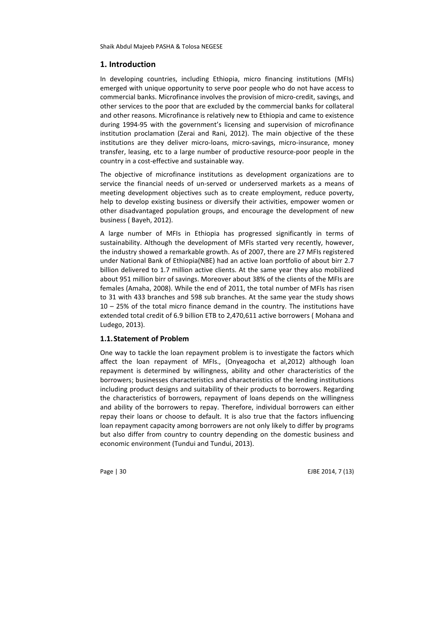## **1. Introduction**

In developing countries, including Ethiopia, micro financing institutions (MFIs) emerged with unique opportunity to serve poor people who do not have access to commercial banks. Microfinance involves the provision of micro-credit, savings, and other services to the poor that are excluded by the commercial banks for collateral and other reasons. Microfinance is relatively new to Ethiopia and came to existence during 1994-95 with the government's licensing and supervision of microfinance institution proclamation (Zerai and Rani, 2012). The main objective of the these institutions are they deliver micro-loans, micro-savings, micro-insurance, money transfer, leasing, etc to a large number of productive resource-poor people in the country in a cost-effective and sustainable way.

The objective of microfinance institutions as development organizations are to service the financial needs of un-served or underserved markets as a means of meeting development objectives such as to create employment, reduce poverty, help to develop existing business or diversify their activities, empower women or other disadvantaged population groups, and encourage the development of new business ( Bayeh, 2012).

A large number of MFIs in Ethiopia has progressed significantly in terms of sustainability. Although the development of MFIs started very recently, however, the industry showed a remarkable growth. As of 2007, there are 27 MFIs registered under National Bank of Ethiopia(NBE) had an active loan portfolio of about birr 2.7 billion delivered to 1.7 million active clients. At the same year they also mobilized about 951 million birr of savings. Moreover about 38% of the clients of the MFIs are females (Amaha, 2008). While the end of 2011, the total number of MFIs has risen to 31 with 433 branches and 598 sub branches. At the same year the study shows 10 – 25% of the total micro finance demand in the country. The institutions have extended total credit of 6.9 billion ETB to 2,470,611 active borrowers ( Mohana and Ludego, 2013).

#### **1.1.Statement of Problem**

One way to tackle the loan repayment problem is to investigate the factors which affect the loan repayment of MFIs., (Onyeagocha et al,2012) although loan repayment is determined by willingness, ability and other characteristics of the borrowers; businesses characteristics and characteristics of the lending institutions including product designs and suitability of their products to borrowers. Regarding the characteristics of borrowers, repayment of loans depends on the willingness and ability of the borrowers to repay. Therefore, individual borrowers can either repay their loans or choose to default. It is also true that the factors influencing loan repayment capacity among borrowers are not only likely to differ by programs but also differ from country to country depending on the domestic business and economic environment (Tundui and Tundui, 2013).

Page | 30 EJBE 2014, 7 (13)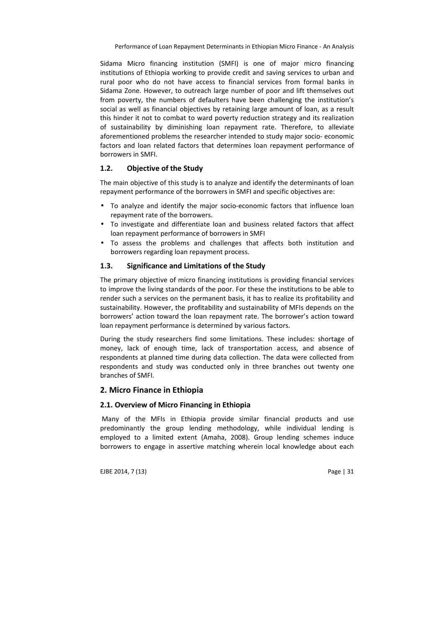Sidama Micro financing institution (SMFI) is one of major micro financing institutions of Ethiopia working to provide credit and saving services to urban and rural poor who do not have access to financial services from formal banks in Sidama Zone. However, to outreach large number of poor and lift themselves out from poverty, the numbers of defaulters have been challenging the institution's social as well as financial objectives by retaining large amount of loan, as a result this hinder it not to combat to ward poverty reduction strategy and its realization of sustainability by diminishing loan repayment rate. Therefore, to alleviate aforementioned problems the researcher intended to study major socio- economic factors and loan related factors that determines loan repayment performance of borrowers in SMFI.

# **1.2. Objective of the Study**

The main objective of this study is to analyze and identify the determinants of loan repayment performance of the borrowers in SMFI and specific objectives are:

- To analyze and identify the major socio-economic factors that influence loan repayment rate of the borrowers.
- To investigate and differentiate loan and business related factors that affect loan repayment performance of borrowers in SMFI
- To assess the problems and challenges that affects both institution and borrowers regarding loan repayment process.

## **1.3. Significance and Limitations of the Study**

The primary objective of micro financing institutions is providing financial services to improve the living standards of the poor. For these the institutions to be able to render such a services on the permanent basis, it has to realize its profitability and sustainability. However, the profitability and sustainability of MFIs depends on the borrowers' action toward the loan repayment rate. The borrower's action toward loan repayment performance is determined by various factors.

During the study researchers find some limitations. These includes: shortage of money, lack of enough time, lack of transportation access, and absence of respondents at planned time during data collection. The data were collected from respondents and study was conducted only in three branches out twenty one branches of SMFI.

#### **2. Micro Finance in Ethiopia**

#### **2.1. Overview of Micro Financing in Ethiopia**

 Many of the MFIs in Ethiopia provide similar financial products and use predominantly the group lending methodology, while individual lending is employed to a limited extent (Amaha, 2008). Group lending schemes induce borrowers to engage in assertive matching wherein local knowledge about each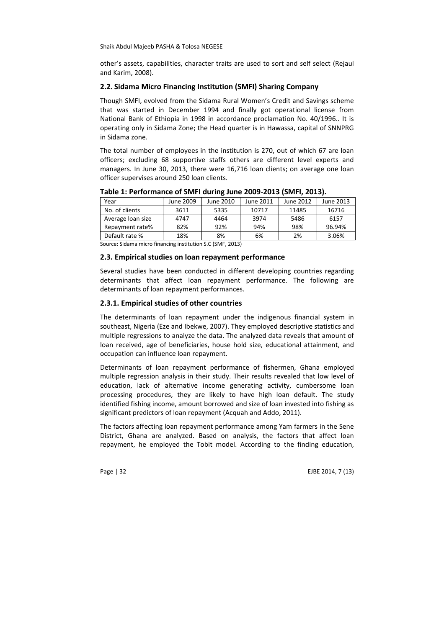other's assets, capabilities, character traits are used to sort and self select (Rejaul and Karim, 2008).

#### **2.2. Sidama Micro Financing Institution (SMFI) Sharing Company**

Though SMFI, evolved from the Sidama Rural Women's Credit and Savings scheme that was started in December 1994 and finally got operational license from National Bank of Ethiopia in 1998 in accordance proclamation No. 40/1996.. It is operating only in Sidama Zone; the Head quarter is in Hawassa, capital of SNNPRG in Sidama zone.

The total number of employees in the institution is 270, out of which 67 are loan officers; excluding 68 supportive staffs others are different level experts and managers. In June 30, 2013, there were 16,716 loan clients; on average one loan officer supervises around 250 loan clients.

| Year              | June 2009 | June 2010 | June 2011 | June 2012 | June 2013 |
|-------------------|-----------|-----------|-----------|-----------|-----------|
| No. of clients    | 3611      | 5335      | 10717     | 11485     | 16716     |
| Average loan size | 4747      | 4464      | 3974      | 5486      | 6157      |
| Repayment rate%   | 82%       | 92%       | 94%       | 98%       | 96.94%    |
| Default rate %    | 18%       | 8%        | 6%        | 2%        | 3.06%     |
|                   |           |           |           |           |           |

**Table 1: Performance of SMFI during June 2009-2013 (SMFI, 2013).** 

Source: Sidama micro financing institution S.C (SMF, 2013)

#### **2.3. Empirical studies on loan repayment performance**

Several studies have been conducted in different developing countries regarding determinants that affect loan repayment performance. The following are determinants of loan repayment performances.

#### **2.3.1. Empirical studies of other countries**

The determinants of loan repayment under the indigenous financial system in southeast, Nigeria (Eze and Ibekwe, 2007). They employed descriptive statistics and multiple regressions to analyze the data. The analyzed data reveals that amount of loan received, age of beneficiaries, house hold size, educational attainment, and occupation can influence loan repayment.

Determinants of loan repayment performance of fishermen, Ghana employed multiple regression analysis in their study. Their results revealed that low level of education, lack of alternative income generating activity, cumbersome loan processing procedures, they are likely to have high loan default. The study identified fishing income, amount borrowed and size of loan invested into fishing as significant predictors of loan repayment (Acquah and Addo, 2011).

The factors affecting loan repayment performance among Yam farmers in the Sene District, Ghana are analyzed. Based on analysis, the factors that affect loan repayment, he employed the Tobit model. According to the finding education,

Page | 32 EJBE 2014, 7 (13)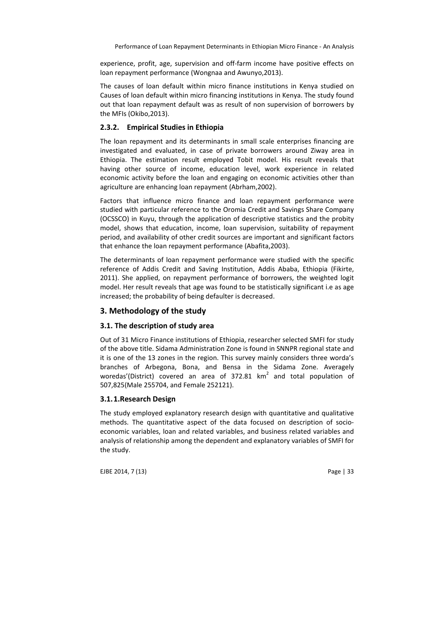experience, profit, age, supervision and off-farm income have positive effects on loan repayment performance (Wongnaa and Awunyo,2013).

The causes of loan default within micro finance institutions in Kenya studied on Causes of loan default within micro financing institutions in Kenya. The study found out that loan repayment default was as result of non supervision of borrowers by the MFIs (Okibo,2013).

## **2.3.2. Empirical Studies in Ethiopia**

The loan repayment and its determinants in small scale enterprises financing are investigated and evaluated, in case of private borrowers around Ziway area in Ethiopia. The estimation result employed Tobit model. His result reveals that having other source of income, education level, work experience in related economic activity before the loan and engaging on economic activities other than agriculture are enhancing loan repayment (Abrham,2002).

Factors that influence micro finance and loan repayment performance were studied with particular reference to the Oromia Credit and Savings Share Company (OCSSCO) in Kuyu, through the application of descriptive statistics and the probity model, shows that education, income, loan supervision, suitability of repayment period, and availability of other credit sources are important and significant factors that enhance the loan repayment performance (Abafita,2003).

The determinants of loan repayment performance were studied with the specific reference of Addis Credit and Saving Institution, Addis Ababa, Ethiopia (Fikirte, 2011). She applied, on repayment performance of borrowers, the weighted logit model. Her result reveals that age was found to be statistically significant i.e as age increased; the probability of being defaulter is decreased.

# **3. Methodology of the study**

## **3.1. The description of study area**

Out of 31 Micro Finance institutions of Ethiopia, researcher selected SMFI for study of the above title. Sidama Administration Zone is found in SNNPR regional state and it is one of the 13 zones in the region. This survey mainly considers three worda's branches of Arbegona, Bona, and Bensa in the Sidama Zone. Averagely woredas'(District) covered an area of 372.81  $km^2$  and total population of 507,825(Male 255704, and Female 252121).

## **3.1.1.Research Design**

The study employed explanatory research design with quantitative and qualitative methods. The quantitative aspect of the data focused on description of socioeconomic variables, loan and related variables, and business related variables and analysis of relationship among the dependent and explanatory variables of SMFI for the study.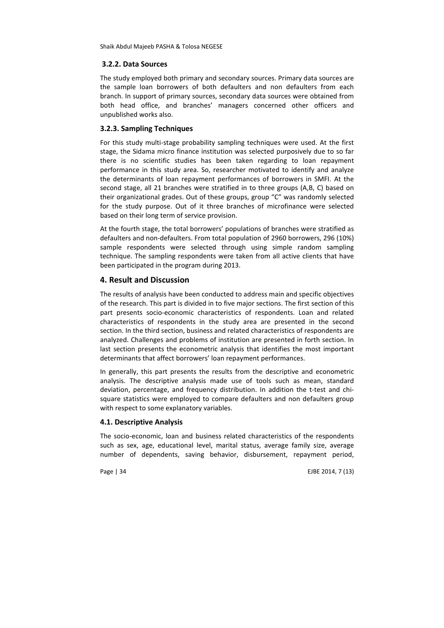## **3.2.2. Data Sources**

The study employed both primary and secondary sources. Primary data sources are the sample loan borrowers of both defaulters and non defaulters from each branch. In support of primary sources, secondary data sources were obtained from both head office, and branches' managers concerned other officers and unpublished works also.

## **3.2.3. Sampling Techniques**

For this study multi-stage probability sampling techniques were used. At the first stage, the Sidama micro finance institution was selected purposively due to so far there is no scientific studies has been taken regarding to loan repayment performance in this study area. So, researcher motivated to identify and analyze the determinants of loan repayment performances of borrowers in SMFI. At the second stage, all 21 branches were stratified in to three groups (A,B, C) based on their organizational grades. Out of these groups, group "C" was randomly selected for the study purpose. Out of it three branches of microfinance were selected based on their long term of service provision.

At the fourth stage, the total borrowers' populations of branches were stratified as defaulters and non-defaulters. From total population of 2960 borrowers, 296 (10%) sample respondents were selected through using simple random sampling technique. The sampling respondents were taken from all active clients that have been participated in the program during 2013.

## **4. Result and Discussion**

The results of analysis have been conducted to address main and specific objectives of the research. This part is divided in to five major sections. The first section of this part presents socio-economic characteristics of respondents. Loan and related characteristics of respondents in the study area are presented in the second section. In the third section, business and related characteristics of respondents are analyzed. Challenges and problems of institution are presented in forth section. In last section presents the econometric analysis that identifies the most important determinants that affect borrowers' loan repayment performances.

In generally, this part presents the results from the descriptive and econometric analysis. The descriptive analysis made use of tools such as mean, standard deviation, percentage, and frequency distribution. In addition the t-test and chisquare statistics were employed to compare defaulters and non defaulters group with respect to some explanatory variables.

## **4.1. Descriptive Analysis**

The socio-economic, loan and business related characteristics of the respondents such as sex, age, educational level, marital status, average family size, average number of dependents, saving behavior, disbursement, repayment period,

Page | 34 EJBE 2014, 7 (13)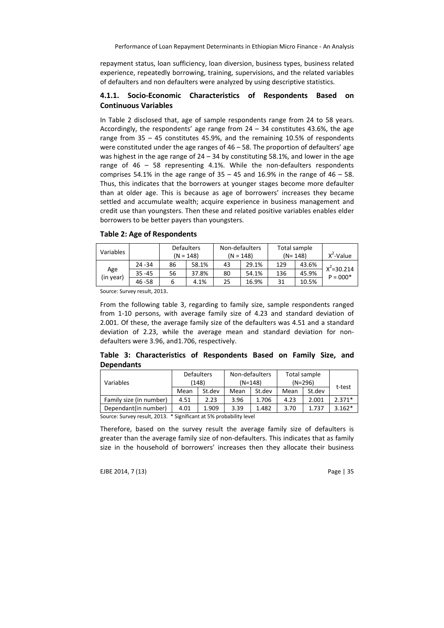repayment status, loan sufficiency, loan diversion, business types, business related experience, repeatedly borrowing, training, supervisions, and the related variables of defaulters and non defaulters were analyzed by using descriptive statistics.

## **4.1.1. Socio-Economic Characteristics of Respondents Based on Continuous Variables**

In Table 2 disclosed that, age of sample respondents range from 24 to 58 years. Accordingly, the respondents' age range from  $24 - 34$  constitutes 43.6%, the age range from 35 – 45 constitutes 45.9%, and the remaining 10.5% of respondents were constituted under the age ranges of 46 – 58. The proportion of defaulters' age was highest in the age range of  $24 - 34$  by constituting 58.1%, and lower in the age range of 46 – 58 representing 4.1%. While the non-defaulters respondents comprises 54.1% in the age range of  $35 - 45$  and 16.9% in the range of  $46 - 58$ . Thus, this indicates that the borrowers at younger stages become more defaulter than at older age. This is because as age of borrowers' increases they became settled and accumulate wealth; acquire experience in business management and credit use than youngsters. Then these and related positive variables enables elder borrowers to be better payers than youngsters.

| Variables |           | $(N = 148)$ | <b>Defaulters</b> |    | Non-defaulters<br>$(N = 148)$ |     | Total sample<br>$(N = 148)$ |                |
|-----------|-----------|-------------|-------------------|----|-------------------------------|-----|-----------------------------|----------------|
|           | $24 - 34$ | 86          | 58.1%             | 43 | 29.1%                         | 129 | 43.6%                       | $X^2 = 30.214$ |
| Age       | $35 - 45$ | 56          | 37.8%             | 80 | 54.1%                         | 136 | 45.9%                       | $P = 000*$     |
| (in year) | 46 - 58   | 6           | 4.1%              | 25 | 16.9%                         | 31  | 10.5%                       |                |

**Table 2: Age of Respondents** 

Source: Survey result, 2013.

From the following table 3, regarding to family size, sample respondents ranged from 1-10 persons, with average family size of 4.23 and standard deviation of 2.001. Of these, the average family size of the defaulters was 4.51 and a standard deviation of 2.23, while the average mean and standard deviation for nondefaulters were 3.96, and1.706, respectively.

|                   | Table 3: Characteristics of Respondents Based on Family Size, and |  |  |  |  |
|-------------------|-------------------------------------------------------------------|--|--|--|--|
| <b>Dependants</b> |                                                                   |  |  |  |  |

| Variables                                                          | <b>Defaulters</b><br>(148) |        |      | Non-defaulters<br>$(N=148)$ | Total sample<br>$(N=296)$ | t-test |          |
|--------------------------------------------------------------------|----------------------------|--------|------|-----------------------------|---------------------------|--------|----------|
|                                                                    | Mean                       | St.dev | Mean | St.dev                      | Mean                      | St.dev |          |
| Family size (in number)                                            | 4.51                       | 2.23   | 3.96 | 1.706                       | 4.23                      | 2.001  | $2.371*$ |
| Dependant(in number)                                               | 4.01                       | 1.909  | 3.39 | 1.482                       | 3.70                      | 1.737  | $3.162*$ |
| Source: Survey result, 2013. * Significant at 5% probability level |                            |        |      |                             |                           |        |          |

Therefore, based on the survey result the average family size of defaulters is greater than the average family size of non-defaulters. This indicates that as family size in the household of borrowers' increases then they allocate their business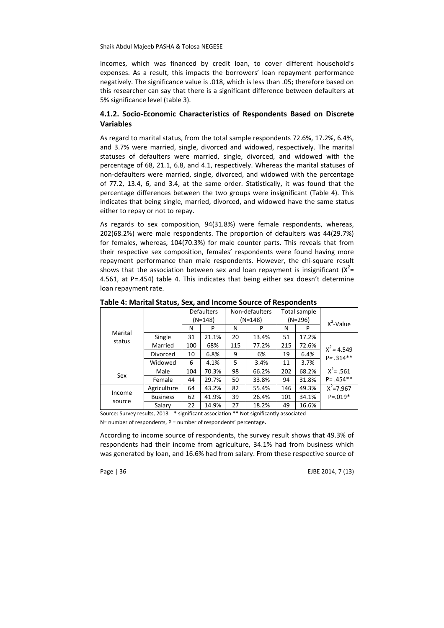incomes, which was financed by credit loan, to cover different household's expenses. As a result, this impacts the borrowers' loan repayment performance negatively. The significance value is .018, which is less than .05; therefore based on this researcher can say that there is a significant difference between defaulters at 5% significance level (table 3).

## **4.1.2. Socio-Economic Characteristics of Respondents Based on Discrete Variables**

As regard to marital status, from the total sample respondents 72.6%, 17.2%, 6.4%, and 3.7% were married, single, divorced and widowed, respectively. The marital statuses of defaulters were married, single, divorced, and widowed with the percentage of 68, 21.1, 6.8, and 4.1, respectively. Whereas the marital statuses of non-defaulters were married, single, divorced, and widowed with the percentage of 77.2, 13.4, 6, and 3.4, at the same order. Statistically, it was found that the percentage differences between the two groups were insignificant (Table 4). This indicates that being single, married, divorced, and widowed have the same status either to repay or not to repay.

As regards to sex composition, 94(31.8%) were female respondents, whereas, 202(68.2%) were male respondents. The proportion of defaulters was 44(29.7%) for females, whereas, 104(70.3%) for male counter parts. This reveals that from their respective sex composition, females' respondents were found having more repayment performance than male respondents. However, the chi-square result shows that the association between sex and loan repayment is insignificant ( $X^2$ = 4.561, at P=.454) table 4. This indicates that being either sex doesn't determine loan repayment rate.

|         |                 |           | <b>Defaulters</b>          |     | Non-defaulters                                                                                                                                                                                                                 |     | Total sample |               |  |
|---------|-----------------|-----------|----------------------------|-----|--------------------------------------------------------------------------------------------------------------------------------------------------------------------------------------------------------------------------------|-----|--------------|---------------|--|
|         |                 | $(N=148)$ |                            |     | (N=148)                                                                                                                                                                                                                        |     | $(N=296)$    | $X^2$ -Value  |  |
|         |                 | N         | P                          | N   | P                                                                                                                                                                                                                              | N   | P            |               |  |
| Marital | Single          | 31        | 21.1%                      | 20  | 13.4%                                                                                                                                                                                                                          | 51  | 17.2%        |               |  |
| status  | Married         | 100       | 68%                        | 115 | 77.2%                                                                                                                                                                                                                          | 215 | 72.6%        | $X^2 = 4.549$ |  |
|         | <b>Divorced</b> | 10        | 6.8%                       | 9   | 6%                                                                                                                                                                                                                             | 19  | 6.4%         | $P = .314**$  |  |
|         | Widowed         | 6         | 4.1%                       | 5   | 3.4%                                                                                                                                                                                                                           | 11  | 3.7%         |               |  |
| Sex     | Male            | 104       | 70.3%                      | 98  | 66.2%                                                                                                                                                                                                                          | 202 | 68.2%        | $X^2$ = .561  |  |
|         | Female          | 44        | 29.7%                      | 50  | 33.8%                                                                                                                                                                                                                          | 94  | 31.8%        | $P = .454**$  |  |
|         | Agriculture     | 64        | 43.2%                      | 82  | 55.4%                                                                                                                                                                                                                          | 146 | 49.3%        | $X^2 = 7.967$ |  |
| Income  | <b>Business</b> | 62        | 41.9%                      | 39  | 26.4%                                                                                                                                                                                                                          | 101 | 34.1%        | $P = 0.019*$  |  |
| source  | Salary          | 22        | 14.9%                      | 27  | 18.2%                                                                                                                                                                                                                          | 49  | 16.6%        |               |  |
|         |                 |           | → アイテンプロティースト ティック・プライン イー |     | where the contract of the contract of the contract of the contract of the contract of the contract of the contract of the contract of the contract of the contract of the contract of the contract of the contract of the cont |     |              |               |  |

**Table 4: Marital Status, Sex, and Income Source of Respondents**

Source: Survey results, 2013 \* significant association \*\* Not significantly associated

N= number of respondents, P = number of respondents' percentage.

According to income source of respondents, the survey result shows that 49.3% of respondents had their income from agriculture, 34.1% had from business which was generated by loan, and 16.6% had from salary. From these respective source of

Page | 36 EJBE 2014, 7 (13)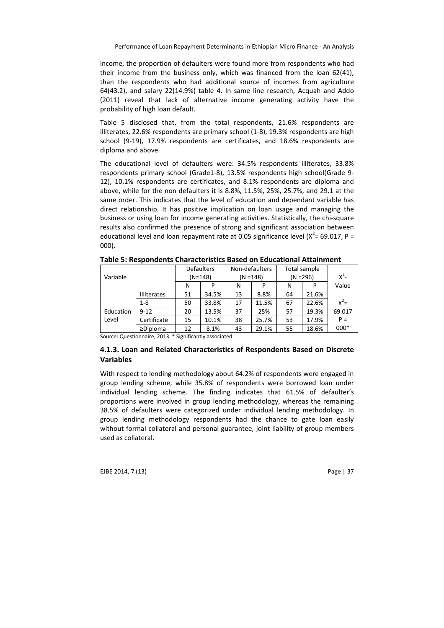income, the proportion of defaulters were found more from respondents who had their income from the business only, which was financed from the loan 62(41), than the respondents who had additional source of incomes from agriculture 64(43.2), and salary 22(14.9%) table 4. In same line research, Acquah and Addo (2011) reveal that lack of alternative income generating activity have the probability of high loan default.

Table 5 disclosed that, from the total respondents, 21.6% respondents are illiterates, 22.6% respondents are primary school (1-8), 19.3% respondents are high school (9-19), 17.9% respondents are certificates, and 18.6% respondents are diploma and above.

The educational level of defaulters were: 34.5% respondents illiterates, 33.8% respondents primary school (Grade1-8), 13.5% respondents high school(Grade 9- 12), 10.1% respondents are certificates, and 8.1% respondents are diploma and above, while for the non defaulters it is 8.8%, 11.5%, 25%, 25.7%, and 29.1 at the same order. This indicates that the level of education and dependant variable has direct relationship. It has positive implication on loan usage and managing the business or using loan for income generating activities. Statistically, the chi-square results also confirmed the presence of strong and significant association between educational level and loan repayment rate at 0.05 significance level ( $X^2$ = 69.017, P = 000).

|           |                    | <b>Defaulters</b> |           |    | Non-defaulters |             | Total sample |         |  |
|-----------|--------------------|-------------------|-----------|----|----------------|-------------|--------------|---------|--|
| Variable  |                    |                   | $(N=148)$ |    | $(N = 148)$    | $(N = 296)$ |              | $x^2$ - |  |
|           |                    | N                 |           | N  | P              | N           | P            | Value   |  |
|           | <b>Illiterates</b> | 51                | 34.5%     | 13 | 8.8%           | 64          | 21.6%        |         |  |
|           | $1 - 8$            | 50                | 33.8%     | 17 | 11.5%          | 67          | 22.6%        | $x^2$ = |  |
| Education | $9 - 12$           | 20                | 13.5%     | 37 | 25%            | 57          | 19.3%        | 69.017  |  |
| Level     | Certificate        | 15                | 10.1%     | 38 | 25.7%          | 53          | 17.9%        | $P =$   |  |
|           | $\geq$ Diploma     | 12                | 8.1%      | 43 | 29.1%          | 55          | 18.6%        | 000*    |  |

**Table 5: Respondents Characteristics Based on Educational Attainment** 

Source: Questionnaire, 2013. \* Significantly associated

# **4.1.3. Loan and Related Characteristics of Respondents Based on Discrete Variables**

With respect to lending methodology about 64.2% of respondents were engaged in group lending scheme, while 35.8% of respondents were borrowed loan under individual lending scheme. The finding indicates that 61.5% of defaulter's proportions were involved in group lending methodology, whereas the remaining 38.5% of defaulters were categorized under individual lending methodology. In group lending methodology respondents had the chance to gate loan easily without formal collateral and personal guarantee, joint liability of group members used as collateral.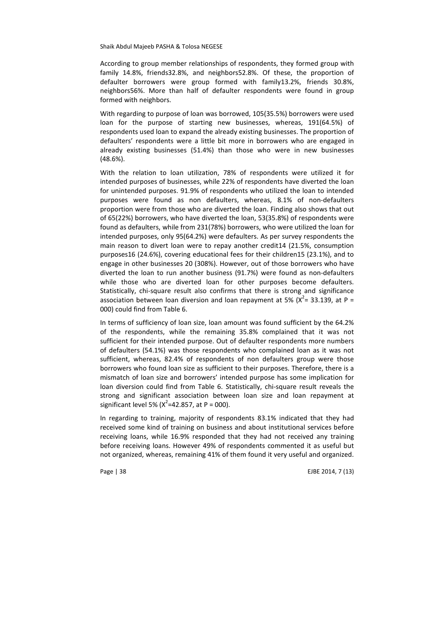According to group member relationships of respondents, they formed group with family 14.8%, friends32.8%, and neighbors52.8%. Of these, the proportion of defaulter borrowers were group formed with family13.2%, friends 30.8%, neighbors56%. More than half of defaulter respondents were found in group formed with neighbors.

With regarding to purpose of loan was borrowed, 105(35.5%) borrowers were used loan for the purpose of starting new businesses, whereas, 191(64.5%) of respondents used loan to expand the already existing businesses. The proportion of defaulters' respondents were a little bit more in borrowers who are engaged in already existing businesses (51.4%) than those who were in new businesses (48.6%).

With the relation to loan utilization, 78% of respondents were utilized it for intended purposes of businesses, while 22% of respondents have diverted the loan for unintended purposes. 91.9% of respondents who utilized the loan to intended purposes were found as non defaulters, whereas, 8.1% of non-defaulters proportion were from those who are diverted the loan. Finding also shows that out of 65(22%) borrowers, who have diverted the loan, 53(35.8%) of respondents were found as defaulters, while from 231(78%) borrowers, who were utilized the loan for intended purposes, only 95(64.2%) were defaulters. As per survey respondents the main reason to divert loan were to repay another credit14 (21.5%, consumption purposes16 (24.6%), covering educational fees for their children15 (23.1%), and to engage in other businesses 20 (308%). However, out of those borrowers who have diverted the loan to run another business (91.7%) were found as non-defaulters while those who are diverted loan for other purposes become defaulters. Statistically, chi-square result also confirms that there is strong and significance association between loan diversion and loan repayment at 5% ( $X^2$  = 33.139, at P = 000) could find from Table 6.

In terms of sufficiency of loan size, loan amount was found sufficient by the 64.2% of the respondents, while the remaining 35.8% complained that it was not sufficient for their intended purpose. Out of defaulter respondents more numbers of defaulters (54.1%) was those respondents who complained loan as it was not sufficient, whereas, 82.4% of respondents of non defaulters group were those borrowers who found loan size as sufficient to their purposes. Therefore, there is a mismatch of loan size and borrowers' intended purpose has some implication for loan diversion could find from Table 6. Statistically, chi-square result reveals the strong and significant association between loan size and loan repayment at significant level 5% ( $X^2$ =42.857, at P = 000).

In regarding to training, majority of respondents 83.1% indicated that they had received some kind of training on business and about institutional services before receiving loans, while 16.9% responded that they had not received any training before receiving loans. However 49% of respondents commented it as useful but not organized, whereas, remaining 41% of them found it very useful and organized.

Page | 38 EJBE 2014, 7 (13)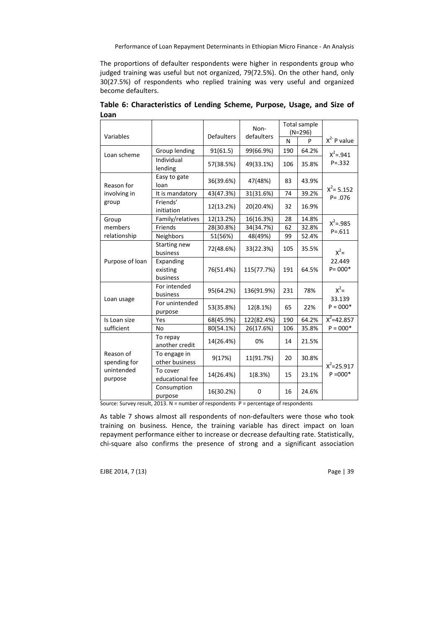The proportions of defaulter respondents were higher in respondents group who judged training was useful but not organized, 79(72.5%). On the other hand, only 30(27.5%) of respondents who replied training was very useful and organized become defaulters.

|                           |                                   |                   | Non-        |     | Total sample<br>$(N=296)$ |                          |
|---------------------------|-----------------------------------|-------------------|-------------|-----|---------------------------|--------------------------|
| Variables                 |                                   | <b>Defaulters</b> | defaulters  | N   | P                         | $X^{2-}P$ value          |
| Loan scheme               | Group lending                     | 91(61.5)          | 99(66.9%)   | 190 | 64.2%                     | $X^2 = .941$             |
|                           | Individual<br>lending             | 57(38.5%)         | 49(33.1%)   | 106 | 35.8%                     | $P = 332$                |
| Reason for                | Easy to gate<br>loan              | 36(39.6%)         | 47(48%)     | 83  | 43.9%                     | $X^2$ = 5.152            |
| involving in              | It is mandatory                   | 43(47.3%)         | 31(31.6%)   | 74  | 39.2%                     | $P = .076$               |
| group                     | Friends'<br>initiation            | 12(13.2%)         | 20(20.4%)   | 32  | 16.9%                     |                          |
| Group                     | Family/relatives                  | 12(13.2%)         | 16(16.3%)   | 28  | 14.8%                     | $X^2 = .985$             |
| members                   | Friends                           | 28(30.8%)         | 34(34.7%)   | 62  | 32.8%                     | $P = 611$                |
| relationship              | Neighbors                         | 51(56%)           | 48(49%)     | 99  | 52.4%                     |                          |
|                           | Starting new<br>business          | 72(48.6%)         | 33(22.3%)   | 105 | 35.5%                     | $x^2$ =                  |
| Purpose of loan           | Expanding<br>existing<br>business | 76(51.4%)         | 115(77.7%)  | 191 | 64.5%                     | 22.449<br>$P = 000*$     |
|                           | For intended<br>business          | 95(64.2%)         | 136(91.9%)  | 231 | 78%                       | $x^2$<br>33.139          |
| Loan usage                | For unintended<br>purpose         | 53(35.8%)         | 12(8.1%)    | 65  | 22%                       | $P = 000*$               |
| Is Loan size              | Yes                               | 68(45.9%)         | 122(82.4%)  | 190 | 64.2%                     | $\overline{X^2}$ =42.857 |
| sufficient                | No                                | 80(54.1%)         | 26(17.6%)   | 106 | 35.8%                     | $P = 000*$               |
|                           | To repay<br>another credit        | 14(26.4%)         | 0%          | 14  | 21.5%                     |                          |
| Reason of<br>spending for | To engage in<br>other business    | 9(17%)            | 11(91.7%)   | 20  | 30.8%                     | $X^2 = 25.917$           |
| unintended<br>purpose     | To cover<br>educational fee       | 14(26.4%)         | 1(8.3%)     | 15  | 23.1%                     | $P = 000*$               |
|                           | Consumption<br>purpose            | 16(30.2%)         | $\mathbf 0$ | 16  | 24.6%                     |                          |

**Table 6: Characteristics of Lending Scheme, Purpose, Usage, and Size of Loan** 

Source: Survey result, 2013. N = number of respondents P = percentage of respondents

As table 7 shows almost all respondents of non-defaulters were those who took training on business. Hence, the training variable has direct impact on loan repayment performance either to increase or decrease defaulting rate. Statistically, chi-square also confirms the presence of strong and a significant association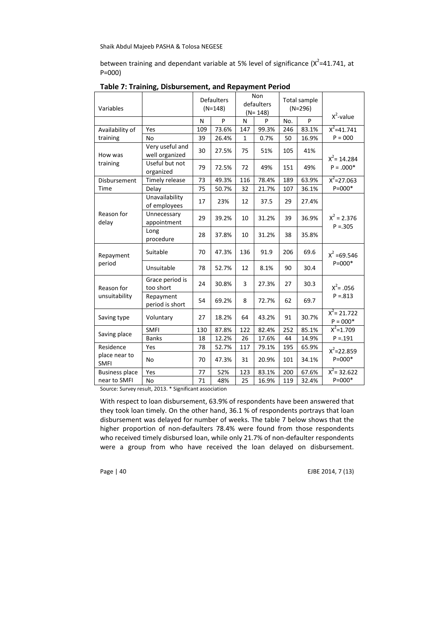between training and dependant variable at 5% level of significance ( $x^2$ =41.741, at P=000)

| P<br>P<br>P<br>N<br>N<br>No.<br>$\overline{x^2}$ =41.741<br>73.6%<br>83.1%<br>99.3%<br>246<br>Availability of<br>Yes<br>109<br>147<br>$P = 000$<br><b>No</b><br>39<br>26.4%<br>0.7%<br>50<br>16.9%<br>training<br>$\mathbf{1}$<br>Very useful and<br>30<br>27.5%<br>75<br>51%<br>105<br>41%<br>well organized<br>How was<br>$X^2$ = 14.284<br>Useful but not<br>training<br>$P = .000*$<br>79<br>72.5%<br>72<br>49%<br>151<br>49%<br>organized<br>$X^2 = 27.063$<br>73<br>78.4%<br>63.9%<br>Disbursement<br>Timely release<br>49.3%<br>116<br>189<br>$P = 000*$<br>75<br>36.1%<br>Time<br>Delay<br>50.7%<br>32<br>21.7%<br>107<br>Unavailability<br>17<br>23%<br>12<br>37.5<br>29<br>27.4%<br>of employees<br>Reason for<br>Unnecessary<br>$X^2 = 2.376$<br>29<br>39.2%<br>10<br>31.2%<br>39<br>36.9%<br>appointment<br>delay<br>$P = 0.305$<br>Long<br>28<br>10<br>31.2%<br>38<br>35.8%<br>37.8%<br>procedure<br>Suitable<br>70<br>47.3%<br>136<br>206<br>91.9<br>69.6<br>$X^2 = 69.546$<br>Repayment<br>$P = 000*$<br>period<br>Unsuitable<br>78<br>52.7%<br>12<br>8.1%<br>90<br>30.4<br>Grace period is<br>3<br>24<br>30.8%<br>27.3%<br>27<br>30.3<br>$X^2 = .056$<br>too short<br>Reason for<br>$P = 0.813$<br>unsuitability<br>Repayment<br>54<br>69.2%<br>72.7%<br>62<br>69.7<br>8<br>period is short<br>$X^2 = 21.722$<br>Voluntary<br>27<br>18.2%<br>64<br>43.2%<br>91<br>30.7%<br>Saving type<br>$P = 000*$<br>$x^2=1.709$<br><b>SMFI</b><br>122<br>82.4%<br>252<br>85.1%<br>130<br>87.8%<br>Saving place<br>$P = 191$<br>12.2%<br>17.6%<br><b>Banks</b><br>26<br>44<br>14.9%<br>18<br>Residence<br>Yes<br>78<br>52.7%<br>117<br>79.1%<br>195<br>65.9%<br>$X^2 = 22.859$<br>place near to<br>$P = 000*$<br><b>No</b><br>31<br>20.9%<br>70<br>47.3%<br>101<br>34.1%<br><b>SMFI</b><br>$X^2$ = 32.622<br>52%<br><b>Business place</b><br>Yes<br>77<br>123<br>83.1%<br>200<br>67.6%<br>$P = 000*$<br>71<br>near to SMFI<br><b>No</b><br>16.9%<br>32.4%<br>48%<br>25<br>119 | Variables |  | <b>Defaulters</b><br>$(N=148)$ | Non<br>defaulters<br>$(N = 148)$ | Total sample<br>$(N=296)$ |              |
|----------------------------------------------------------------------------------------------------------------------------------------------------------------------------------------------------------------------------------------------------------------------------------------------------------------------------------------------------------------------------------------------------------------------------------------------------------------------------------------------------------------------------------------------------------------------------------------------------------------------------------------------------------------------------------------------------------------------------------------------------------------------------------------------------------------------------------------------------------------------------------------------------------------------------------------------------------------------------------------------------------------------------------------------------------------------------------------------------------------------------------------------------------------------------------------------------------------------------------------------------------------------------------------------------------------------------------------------------------------------------------------------------------------------------------------------------------------------------------------------------------------------------------------------------------------------------------------------------------------------------------------------------------------------------------------------------------------------------------------------------------------------------------------------------------------------------------------------------------------------------------------------------------------------------------------------------------------------------------|-----------|--|--------------------------------|----------------------------------|---------------------------|--------------|
|                                                                                                                                                                                                                                                                                                                                                                                                                                                                                                                                                                                                                                                                                                                                                                                                                                                                                                                                                                                                                                                                                                                                                                                                                                                                                                                                                                                                                                                                                                                                                                                                                                                                                                                                                                                                                                                                                                                                                                                  |           |  |                                |                                  |                           | $X^2$ -value |
|                                                                                                                                                                                                                                                                                                                                                                                                                                                                                                                                                                                                                                                                                                                                                                                                                                                                                                                                                                                                                                                                                                                                                                                                                                                                                                                                                                                                                                                                                                                                                                                                                                                                                                                                                                                                                                                                                                                                                                                  |           |  |                                |                                  |                           |              |
|                                                                                                                                                                                                                                                                                                                                                                                                                                                                                                                                                                                                                                                                                                                                                                                                                                                                                                                                                                                                                                                                                                                                                                                                                                                                                                                                                                                                                                                                                                                                                                                                                                                                                                                                                                                                                                                                                                                                                                                  |           |  |                                |                                  |                           |              |
|                                                                                                                                                                                                                                                                                                                                                                                                                                                                                                                                                                                                                                                                                                                                                                                                                                                                                                                                                                                                                                                                                                                                                                                                                                                                                                                                                                                                                                                                                                                                                                                                                                                                                                                                                                                                                                                                                                                                                                                  |           |  |                                |                                  |                           |              |
|                                                                                                                                                                                                                                                                                                                                                                                                                                                                                                                                                                                                                                                                                                                                                                                                                                                                                                                                                                                                                                                                                                                                                                                                                                                                                                                                                                                                                                                                                                                                                                                                                                                                                                                                                                                                                                                                                                                                                                                  |           |  |                                |                                  |                           |              |
|                                                                                                                                                                                                                                                                                                                                                                                                                                                                                                                                                                                                                                                                                                                                                                                                                                                                                                                                                                                                                                                                                                                                                                                                                                                                                                                                                                                                                                                                                                                                                                                                                                                                                                                                                                                                                                                                                                                                                                                  |           |  |                                |                                  |                           |              |
|                                                                                                                                                                                                                                                                                                                                                                                                                                                                                                                                                                                                                                                                                                                                                                                                                                                                                                                                                                                                                                                                                                                                                                                                                                                                                                                                                                                                                                                                                                                                                                                                                                                                                                                                                                                                                                                                                                                                                                                  |           |  |                                |                                  |                           |              |
|                                                                                                                                                                                                                                                                                                                                                                                                                                                                                                                                                                                                                                                                                                                                                                                                                                                                                                                                                                                                                                                                                                                                                                                                                                                                                                                                                                                                                                                                                                                                                                                                                                                                                                                                                                                                                                                                                                                                                                                  |           |  |                                |                                  |                           |              |
|                                                                                                                                                                                                                                                                                                                                                                                                                                                                                                                                                                                                                                                                                                                                                                                                                                                                                                                                                                                                                                                                                                                                                                                                                                                                                                                                                                                                                                                                                                                                                                                                                                                                                                                                                                                                                                                                                                                                                                                  |           |  |                                |                                  |                           |              |
|                                                                                                                                                                                                                                                                                                                                                                                                                                                                                                                                                                                                                                                                                                                                                                                                                                                                                                                                                                                                                                                                                                                                                                                                                                                                                                                                                                                                                                                                                                                                                                                                                                                                                                                                                                                                                                                                                                                                                                                  |           |  |                                |                                  |                           |              |
|                                                                                                                                                                                                                                                                                                                                                                                                                                                                                                                                                                                                                                                                                                                                                                                                                                                                                                                                                                                                                                                                                                                                                                                                                                                                                                                                                                                                                                                                                                                                                                                                                                                                                                                                                                                                                                                                                                                                                                                  |           |  |                                |                                  |                           |              |
|                                                                                                                                                                                                                                                                                                                                                                                                                                                                                                                                                                                                                                                                                                                                                                                                                                                                                                                                                                                                                                                                                                                                                                                                                                                                                                                                                                                                                                                                                                                                                                                                                                                                                                                                                                                                                                                                                                                                                                                  |           |  |                                |                                  |                           |              |
|                                                                                                                                                                                                                                                                                                                                                                                                                                                                                                                                                                                                                                                                                                                                                                                                                                                                                                                                                                                                                                                                                                                                                                                                                                                                                                                                                                                                                                                                                                                                                                                                                                                                                                                                                                                                                                                                                                                                                                                  |           |  |                                |                                  |                           |              |
|                                                                                                                                                                                                                                                                                                                                                                                                                                                                                                                                                                                                                                                                                                                                                                                                                                                                                                                                                                                                                                                                                                                                                                                                                                                                                                                                                                                                                                                                                                                                                                                                                                                                                                                                                                                                                                                                                                                                                                                  |           |  |                                |                                  |                           |              |
|                                                                                                                                                                                                                                                                                                                                                                                                                                                                                                                                                                                                                                                                                                                                                                                                                                                                                                                                                                                                                                                                                                                                                                                                                                                                                                                                                                                                                                                                                                                                                                                                                                                                                                                                                                                                                                                                                                                                                                                  |           |  |                                |                                  |                           |              |
|                                                                                                                                                                                                                                                                                                                                                                                                                                                                                                                                                                                                                                                                                                                                                                                                                                                                                                                                                                                                                                                                                                                                                                                                                                                                                                                                                                                                                                                                                                                                                                                                                                                                                                                                                                                                                                                                                                                                                                                  |           |  |                                |                                  |                           |              |
|                                                                                                                                                                                                                                                                                                                                                                                                                                                                                                                                                                                                                                                                                                                                                                                                                                                                                                                                                                                                                                                                                                                                                                                                                                                                                                                                                                                                                                                                                                                                                                                                                                                                                                                                                                                                                                                                                                                                                                                  |           |  |                                |                                  |                           |              |
|                                                                                                                                                                                                                                                                                                                                                                                                                                                                                                                                                                                                                                                                                                                                                                                                                                                                                                                                                                                                                                                                                                                                                                                                                                                                                                                                                                                                                                                                                                                                                                                                                                                                                                                                                                                                                                                                                                                                                                                  |           |  |                                |                                  |                           |              |
|                                                                                                                                                                                                                                                                                                                                                                                                                                                                                                                                                                                                                                                                                                                                                                                                                                                                                                                                                                                                                                                                                                                                                                                                                                                                                                                                                                                                                                                                                                                                                                                                                                                                                                                                                                                                                                                                                                                                                                                  |           |  |                                |                                  |                           |              |
|                                                                                                                                                                                                                                                                                                                                                                                                                                                                                                                                                                                                                                                                                                                                                                                                                                                                                                                                                                                                                                                                                                                                                                                                                                                                                                                                                                                                                                                                                                                                                                                                                                                                                                                                                                                                                                                                                                                                                                                  |           |  |                                |                                  |                           |              |
| Course Cuniquiseult 2012 * Cignificant association                                                                                                                                                                                                                                                                                                                                                                                                                                                                                                                                                                                                                                                                                                                                                                                                                                                                                                                                                                                                                                                                                                                                                                                                                                                                                                                                                                                                                                                                                                                                                                                                                                                                                                                                                                                                                                                                                                                               |           |  |                                |                                  |                           |              |

**Table 7: Training, Disbursement, and Repayment Period**

Source: Survey result, 2013. \* Significant association

With respect to loan disbursement, 63.9% of respondents have been answered that they took loan timely. On the other hand, 36.1 % of respondents portrays that loan disbursement was delayed for number of weeks. The table 7 below shows that the higher proportion of non-defaulters 78.4% were found from those respondents who received timely disbursed loan, while only 21.7% of non-defaulter respondents were a group from who have received the loan delayed on disbursement.

Page | 40 EJBE 2014, 7 (13)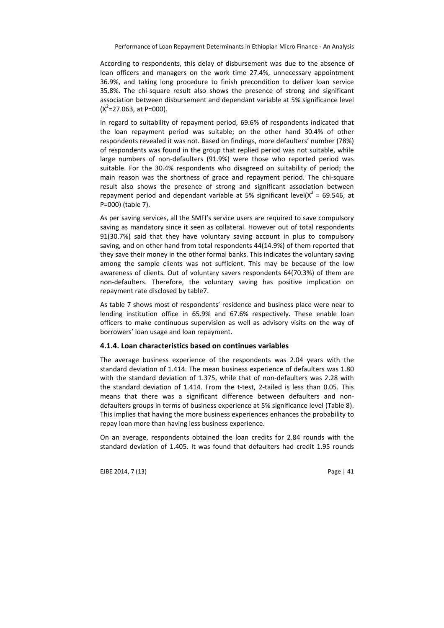According to respondents, this delay of disbursement was due to the absence of loan officers and managers on the work time 27.4%, unnecessary appointment 36.9%, and taking long procedure to finish precondition to deliver loan service 35.8%. The chi-square result also shows the presence of strong and significant association between disbursement and dependant variable at 5% significance level  $(X^2=27.063, \text{ at } P=000).$ 

In regard to suitability of repayment period, 69.6% of respondents indicated that the loan repayment period was suitable; on the other hand 30.4% of other respondents revealed it was not. Based on findings, more defaulters' number (78%) of respondents was found in the group that replied period was not suitable, while large numbers of non-defaulters (91.9%) were those who reported period was suitable. For the 30.4% respondents who disagreed on suitability of period; the main reason was the shortness of grace and repayment period. The chi-square result also shows the presence of strong and significant association between repayment period and dependant variable at 5% significant level( $x^2$  = 69.546, at P=000) (table 7).

As per saving services, all the SMFI's service users are required to save compulsory saving as mandatory since it seen as collateral. However out of total respondents 91(30.7%) said that they have voluntary saving account in plus to compulsory saving, and on other hand from total respondents 44(14.9%) of them reported that they save their money in the other formal banks. This indicates the voluntary saving among the sample clients was not sufficient. This may be because of the low awareness of clients. Out of voluntary savers respondents 64(70.3%) of them are non-defaulters. Therefore, the voluntary saving has positive implication on repayment rate disclosed by table7.

As table 7 shows most of respondents' residence and business place were near to lending institution office in 65.9% and 67.6% respectively. These enable loan officers to make continuous supervision as well as advisory visits on the way of borrowers' loan usage and loan repayment.

#### **4.1.4. Loan characteristics based on continues variables**

The average business experience of the respondents was 2.04 years with the standard deviation of 1.414. The mean business experience of defaulters was 1.80 with the standard deviation of 1.375, while that of non-defaulters was 2.28 with the standard deviation of 1.414. From the t-test, 2-tailed is less than 0.05. This means that there was a significant difference between defaulters and nondefaulters groups in terms of business experience at 5% significance level (Table 8). This implies that having the more business experiences enhances the probability to repay loan more than having less business experience.

On an average, respondents obtained the loan credits for 2.84 rounds with the standard deviation of 1.405. It was found that defaulters had credit 1.95 rounds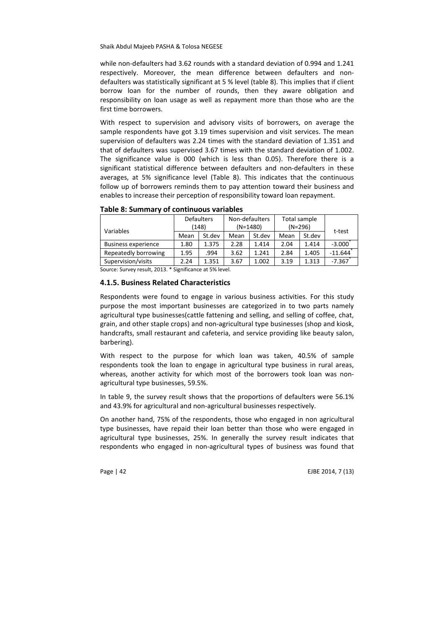while non-defaulters had 3.62 rounds with a standard deviation of 0.994 and 1.241 respectively. Moreover, the mean difference between defaulters and nondefaulters was statistically significant at 5 % level (table 8). This implies that if client borrow loan for the number of rounds, then they aware obligation and responsibility on loan usage as well as repayment more than those who are the first time borrowers.

With respect to supervision and advisory visits of borrowers, on average the sample respondents have got 3.19 times supervision and visit services. The mean supervision of defaulters was 2.24 times with the standard deviation of 1.351 and that of defaulters was supervised 3.67 times with the standard deviation of 1.002. The significance value is 000 (which is less than 0.05). Therefore there is a significant statistical difference between defaulters and non-defaulters in these averages, at 5% significance level (Table 8). This indicates that the continuous follow up of borrowers reminds them to pay attention toward their business and enables to increase their perception of responsibility toward loan repayment.

| <b>Defaulters</b><br>(148) |        | Non-defaulters<br>$(N=1480)$ |                                                           |      |        |                           |
|----------------------------|--------|------------------------------|-----------------------------------------------------------|------|--------|---------------------------|
| Mean                       | St.dev | Mean                         | St.dev                                                    | Mean | St.dev | t-test                    |
| 1.80                       | 1.375  | 2.28                         | 1.414                                                     | 2.04 | 1.414  | $-3.000$                  |
| 1.95                       | .994   | 3.62                         | 1.241                                                     | 2.84 | 1.405  | $-11.644$                 |
| 1.351<br>2.24              |        | 3.67                         | 1.002                                                     | 3.19 | 1.313  | $-7.367$                  |
|                            |        |                              | Cattlett Crimins and the OO10 * Clasification of FOL land |      |        | Total sample<br>$(N=296)$ |

**Table 8: Summary of continuous variables** 

Source: Survey result, 2013. \* Significance at 5% level.

#### **4.1.5. Business Related Characteristics**

Respondents were found to engage in various business activities. For this study purpose the most important businesses are categorized in to two parts namely agricultural type businesses(cattle fattening and selling, and selling of coffee, chat, grain, and other staple crops) and non-agricultural type businesses (shop and kiosk, handcrafts, small restaurant and cafeteria, and service providing like beauty salon, barbering).

With respect to the purpose for which loan was taken, 40.5% of sample respondents took the loan to engage in agricultural type business in rural areas, whereas, another activity for which most of the borrowers took loan was nonagricultural type businesses, 59.5%.

In table 9, the survey result shows that the proportions of defaulters were 56.1% and 43.9% for agricultural and non-agricultural businesses respectively.

On another hand, 75% of the respondents, those who engaged in non agricultural type businesses, have repaid their loan better than those who were engaged in agricultural type businesses, 25%. In generally the survey result indicates that respondents who engaged in non-agricultural types of business was found that

Page | 42 EJBE 2014, 7 (13)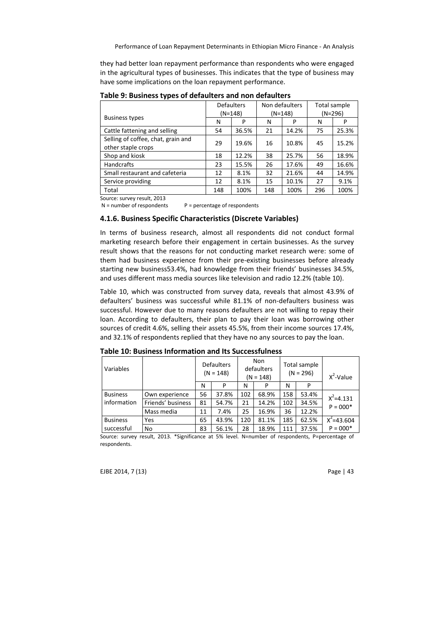they had better loan repayment performance than respondents who were engaged in the agricultural types of businesses. This indicates that the type of business may have some implications on the loan repayment performance.

|                                    | <b>Defaulters</b> |           |     | Non defaulters |     | Total sample |
|------------------------------------|-------------------|-----------|-----|----------------|-----|--------------|
|                                    |                   | $(N=148)$ |     | $(N=148)$      |     | (N=296)      |
| <b>Business types</b>              | N                 | P         | N   | P              | N   | P            |
| Cattle fattening and selling       | 54                | 36.5%     | 21  | 14.2%          | 75  | 25.3%        |
| Selling of coffee, chat, grain and | 29                | 19.6%     | 16  | 10.8%          | 45  | 15.2%        |
| other staple crops                 |                   |           |     |                |     |              |
| Shop and kiosk                     | 18                | 12.2%     | 38  | 25.7%          | 56  | 18.9%        |
| <b>Handcrafts</b>                  | 23                | 15.5%     | 26  | 17.6%          | 49  | 16.6%        |
| Small restaurant and cafeteria     | 12                | 8.1%      | 32  | 21.6%          | 44  | 14.9%        |
| Service providing                  | 12                | 8.1%      | 15  | 10.1%          | 27  | 9.1%         |
| Total                              | 148               | 100%      | 148 | 100%           | 296 | 100%         |

**Table 9: Business types of defaulters and non defaulters** 

Source: survey result, 2013

 $N =$  number of respondents  $P =$  percentage of respondents

#### **4.1.6. Business Specific Characteristics (Discrete Variables)**

In terms of business research, almost all respondents did not conduct formal marketing research before their engagement in certain businesses. As the survey result shows that the reasons for not conducting market research were: some of them had business experience from their pre-existing businesses before already starting new business53.4%, had knowledge from their friends' businesses 34.5%, and uses different mass media sources like television and radio 12.2% (table 10).

Table 10, which was constructed from survey data, reveals that almost 43.9% of defaulters' business was successful while 81.1% of non-defaulters business was successful. However due to many reasons defaulters are not willing to repay their loan. According to defaulters, their plan to pay their loan was borrowing other sources of credit 4.6%, selling their assets 45.5%, from their income sources 17.4%, and 32.1% of respondents replied that they have no any sources to pay the loan.

| Variables       |                   | <b>Defaulters</b><br>$(N = 148)$ |       | <b>Non</b><br>defaulters<br>$(N = 148)$ |       | Total sample<br>$(N = 296)$ |       | $X^2$ -Value   |
|-----------------|-------------------|----------------------------------|-------|-----------------------------------------|-------|-----------------------------|-------|----------------|
|                 |                   | N                                | P     | N                                       | P     | N                           | P     |                |
| <b>Business</b> | Own experience    | 56                               | 37.8% | 102                                     | 68.9% | 158                         | 53.4% | $X^2 = 4.131$  |
| l information   | Friends' business | 81                               | 54.7% | 21                                      | 14.2% | 102                         | 34.5% | $P = 000*$     |
|                 | Mass media        | 11                               | 7.4%  | 25                                      | 16.9% | 36                          | 12.2% |                |
| <b>Business</b> | Yes               | 65                               | 43.9% | 120                                     | 81.1% | 185                         | 62.5% | $X^2 = 43.604$ |
| successful      | No                | 83                               | 56.1% | 28                                      | 18.9% | 111                         | 37.5% | $P = 000*$     |
|                 | .                 |                                  |       |                                         |       |                             |       |                |

**Table 10: Business Information and Its Successfulness** 

Source: survey result, 2013. \*Significance at 5% level. N=number of respondents, P=percentage of respondents.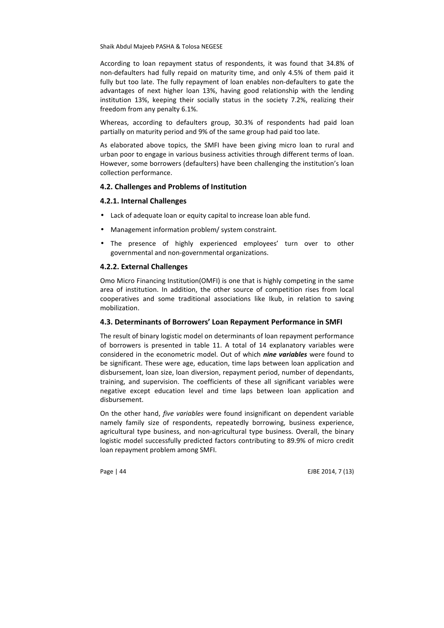According to loan repayment status of respondents, it was found that 34.8% of non-defaulters had fully repaid on maturity time, and only 4.5% of them paid it fully but too late. The fully repayment of loan enables non-defaulters to gate the advantages of next higher loan 13%, having good relationship with the lending institution 13%, keeping their socially status in the society 7.2%, realizing their freedom from any penalty 6.1%.

Whereas, according to defaulters group, 30.3% of respondents had paid loan partially on maturity period and 9% of the same group had paid too late.

As elaborated above topics, the SMFI have been giving micro loan to rural and urban poor to engage in various business activities through different terms of loan. However, some borrowers (defaulters) have been challenging the institution's loan collection performance.

### **4.2. Challenges and Problems of Institution**

## **4.2.1. Internal Challenges**

- Lack of adequate loan or equity capital to increase loan able fund.
- Management information problem/ system constraint.
- The presence of highly experienced employees' turn over to other governmental and non-governmental organizations.

#### **4.2.2. External Challenges**

Omo Micro Financing Institution(OMFI) is one that is highly competing in the same area of institution. In addition, the other source of competition rises from local cooperatives and some traditional associations like Ikub, in relation to saving mobilization.

## **4.3. Determinants of Borrowers' Loan Repayment Performance in SMFI**

The result of binary logistic model on determinants of loan repayment performance of borrowers is presented in table 11. A total of 14 explanatory variables were considered in the econometric model. Out of which *nine variables* were found to be significant. These were age, education, time laps between loan application and disbursement, loan size, loan diversion, repayment period, number of dependants, training, and supervision. The coefficients of these all significant variables were negative except education level and time laps between loan application and disbursement.

On the other hand, *five variables* were found insignificant on dependent variable namely family size of respondents, repeatedly borrowing, business experience, agricultural type business, and non-agricultural type business. Overall, the binary logistic model successfully predicted factors contributing to 89.9% of micro credit loan repayment problem among SMFI.

Page | 44 EJBE 2014, 7 (13)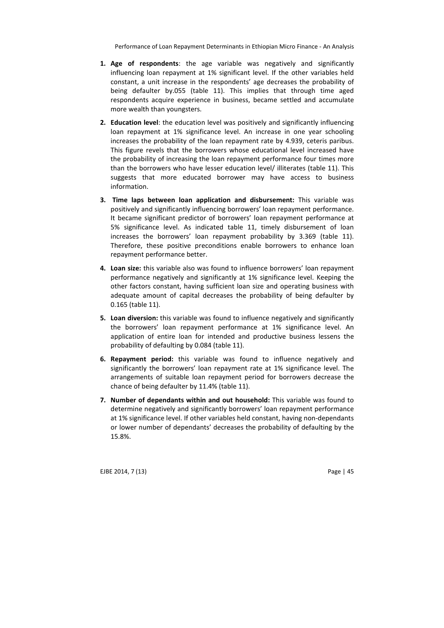- **1. Age of respondents**: the age variable was negatively and significantly influencing loan repayment at 1% significant level. If the other variables held constant, a unit increase in the respondents' age decreases the probability of being defaulter by.055 (table 11). This implies that through time aged respondents acquire experience in business, became settled and accumulate more wealth than youngsters.
- **2. Education level**: the education level was positively and significantly influencing loan repayment at 1% significance level. An increase in one year schooling increases the probability of the loan repayment rate by 4.939, ceteris paribus. This figure revels that the borrowers whose educational level increased have the probability of increasing the loan repayment performance four times more than the borrowers who have lesser education level/ illiterates (table 11). This suggests that more educated borrower may have access to business information.
- **3. Time laps between loan application and disbursement:** This variable was positively and significantly influencing borrowers' loan repayment performance. It became significant predictor of borrowers' loan repayment performance at 5% significance level. As indicated table 11, timely disbursement of loan increases the borrowers' loan repayment probability by 3.369 (table 11). Therefore, these positive preconditions enable borrowers to enhance loan repayment performance better.
- **4. Loan size:** this variable also was found to influence borrowers' loan repayment performance negatively and significantly at 1% significance level. Keeping the other factors constant, having sufficient loan size and operating business with adequate amount of capital decreases the probability of being defaulter by 0.165 (table 11).
- **5. Loan diversion:** this variable was found to influence negatively and significantly the borrowers' loan repayment performance at 1% significance level. An application of entire loan for intended and productive business lessens the probability of defaulting by 0.084 (table 11).
- **6. Repayment period:** this variable was found to influence negatively and significantly the borrowers' loan repayment rate at 1% significance level. The arrangements of suitable loan repayment period for borrowers decrease the chance of being defaulter by 11.4% (table 11).
- **7. Number of dependants within and out household:** This variable was found to determine negatively and significantly borrowers' loan repayment performance at 1% significance level. If other variables held constant, having non-dependants or lower number of dependants' decreases the probability of defaulting by the 15.8%.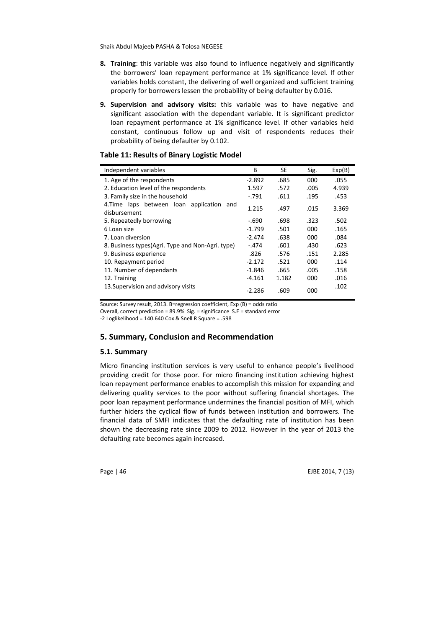- **8. Training**: this variable was also found to influence negatively and significantly the borrowers' loan repayment performance at 1% significance level. If other variables holds constant, the delivering of well organized and sufficient training properly for borrowers lessen the probability of being defaulter by 0.016.
- **9. Supervision and advisory visits:** this variable was to have negative and significant association with the dependant variable. It is significant predictor loan repayment performance at 1% significance level. If other variables held constant, continuous follow up and visit of respondents reduces their probability of being defaulter by 0.102.

### **Table 11: Results of Binary Logistic Model**

| Independent variables                                        | B        | SE    | Sig. | Exp(B) |
|--------------------------------------------------------------|----------|-------|------|--------|
| 1. Age of the respondents                                    | $-2.892$ | .685  | 000  | .055   |
| 2. Education level of the respondents                        | 1.597    | .572  | .005 | 4.939  |
| 3. Family size in the household                              | $-.791$  | .611  | .195 | .453   |
| 4. Time laps between loan application<br>and<br>disbursement | 1.215    | .497  | .015 | 3.369  |
| 5. Repeatedly borrowing                                      | $-.690$  | .698  | .323 | .502   |
| 6 Loan size                                                  | $-1.799$ | .501  | 000  | .165   |
| 7. Loan diversion                                            | $-2.474$ | .638  | 000  | .084   |
| 8. Business types (Agri. Type and Non-Agri. type)            | $-.474$  | .601  | .430 | .623   |
| 9. Business experience                                       | .826     | .576  | .151 | 2.285  |
| 10. Repayment period                                         | $-2.172$ | .521  | 000  | .114   |
| 11. Number of dependants                                     | $-1.846$ | .665  | .005 | .158   |
| 12. Training                                                 | -4.161   | 1.182 | 000  | .016   |
| 13. Supervision and advisory visits                          | $-2.286$ | .609  | 000  | .102   |

Source: Survey result, 2013. B=regression coefficient, Exp (B) = odds ratio

Overall, correct prediction = 89.9% Sig. = significance S.E = standard error

-2 Loglikelihood = 140.640 Cox & Snell R Square = .598

### **5. Summary, Conclusion and Recommendation**

#### **5.1. Summary**

Micro financing institution services is very useful to enhance people's livelihood providing credit for those poor. For micro financing institution achieving highest loan repayment performance enables to accomplish this mission for expanding and delivering quality services to the poor without suffering financial shortages. The poor loan repayment performance undermines the financial position of MFI, which further hiders the cyclical flow of funds between institution and borrowers. The financial data of SMFI indicates that the defaulting rate of institution has been shown the decreasing rate since 2009 to 2012. However in the year of 2013 the defaulting rate becomes again increased.

Page | 46 EJBE 2014, 7 (13)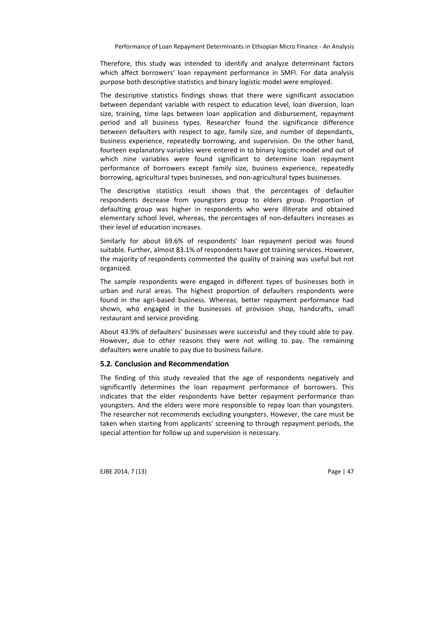Therefore, this study was intended to identify and analyze determinant factors which affect borrowers' loan repayment performance in SMFI. For data analysis purpose both descriptive statistics and binary logistic model were employed.

The descriptive statistics findings shows that there were significant association between dependant variable with respect to education level, loan diversion, loan size, training, time laps between loan application and disbursement, repayment period and all business types. Researcher found the significance difference between defaulters with respect to age, family size, and number of dependants, business experience, repeatedly borrowing, and supervision. On the other hand, fourteen explanatory variables were entered in to binary logistic model and out of which nine variables were found significant to determine loan repayment performance of borrowers except family size, business experience, repeatedly borrowing, agricultural types businesses, and non-agricultural types businesses.

The descriptive statistics result shows that the percentages of defaulter respondents decrease from youngsters group to elders group. Proportion of defaulting group was higher in respondents who were illiterate and obtained elementary school level, whereas, the percentages of non-defaulters increases as their level of education increases.

Similarly for about 69.6% of respondents' loan repayment period was found suitable. Further, almost 83.1% of respondents have got training services. However, the majority of respondents commented the quality of training was useful but not organized.

The sample respondents were engaged in different types of businesses both in urban and rural areas. The highest proportion of defaulters respondents were found in the agri-based business. Whereas, better repayment performance had shown, who engaged in the businesses of provision shop, handcrafts, small restaurant and service providing.

About 43.9% of defaulters' businesses were successful and they could able to pay. However, due to other reasons they were not willing to pay. The remaining defaulters were unable to pay due to business failure.

#### **5.2. Conclusion and Recommendation**

The finding of this study revealed that the age of respondents negatively and significantly determines the loan repayment performance of borrowers. This indicates that the elder respondents have better repayment performance than youngsters. And the elders were more responsible to repay loan than youngsters. The researcher not recommends excluding youngsters. However, the care must be taken when starting from applicants' screening to through repayment periods, the special attention for follow up and supervision is necessary.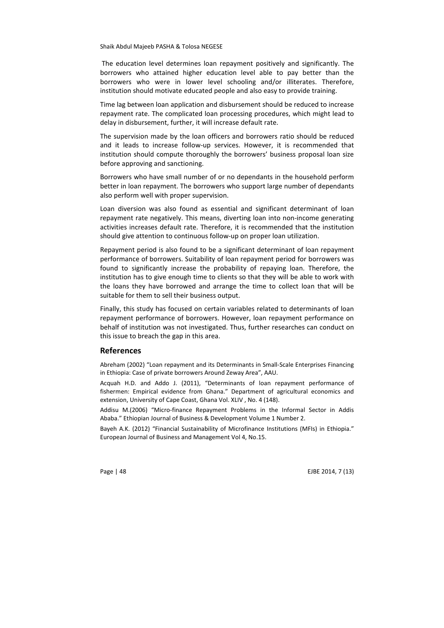The education level determines loan repayment positively and significantly. The borrowers who attained higher education level able to pay better than the borrowers who were in lower level schooling and/or illiterates. Therefore, institution should motivate educated people and also easy to provide training.

Time lag between loan application and disbursement should be reduced to increase repayment rate. The complicated loan processing procedures, which might lead to delay in disbursement, further, it will increase default rate.

The supervision made by the loan officers and borrowers ratio should be reduced and it leads to increase follow-up services. However, it is recommended that institution should compute thoroughly the borrowers' business proposal loan size before approving and sanctioning.

Borrowers who have small number of or no dependants in the household perform better in loan repayment. The borrowers who support large number of dependants also perform well with proper supervision.

Loan diversion was also found as essential and significant determinant of loan repayment rate negatively. This means, diverting loan into non-income generating activities increases default rate. Therefore, it is recommended that the institution should give attention to continuous follow-up on proper loan utilization.

Repayment period is also found to be a significant determinant of loan repayment performance of borrowers. Suitability of loan repayment period for borrowers was found to significantly increase the probability of repaying loan. Therefore, the institution has to give enough time to clients so that they will be able to work with the loans they have borrowed and arrange the time to collect loan that will be suitable for them to sell their business output.

Finally, this study has focused on certain variables related to determinants of loan repayment performance of borrowers. However, loan repayment performance on behalf of institution was not investigated. Thus, further researches can conduct on this issue to breach the gap in this area.

#### **References**

Abreham (2002) "Loan repayment and its Determinants in Small-Scale Enterprises Financing in Ethiopia: Case of private borrowers Around Zeway Area", AAU.

Acquah H.D. and Addo J. (2011), "Determinants of loan repayment performance of fishermen: Empirical evidence from Ghana." Department of agricultural economics and extension, University of Cape Coast, Ghana Vol. XLIV , No. 4 (148).

Addisu M.(2006) "Micro-finance Repayment Problems in the Informal Sector in Addis Ababa." Ethiopian Journal of Business & Development Volume 1 Number 2.

Bayeh A.K. (2012) "Financial Sustainability of Microfinance Institutions (MFIs) in Ethiopia." European Journal of Business and Management Vol 4, No.15.

Page | 48 EJBE 2014, 7 (13)